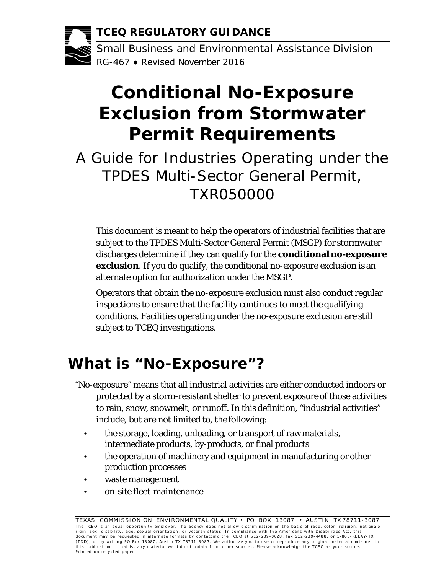**TCEQ REGULATORY GUIDANCE** 

a -.. - - - •el ffiii Small Business and Environmental Assistance Division RG-467 ● Revised November 2016

# **Conditional No-Exposure Exclusion from Stormwater Permit Requirements**

A Guide for Industries Operating under the TPDES Multi-Sector General Permit, TXR050000

 **exclusion**. If you do qualify, the conditional no-exposure exclusion is an alternate option for authorization under the MSGP. This document is meant to help the operators of industrial facilities that are subject to the TPDES Multi-Sector General Permit (MSGP) for stormwater discharges determine if they can qualify for the **conditional no-exposure** 

 Operators that obtain the no-exposure exclusion must also conduct regular inspections to ensure that the facility continues to meet the qualifying conditions. Facilities operating under the no-exposure exclusion are still subject to TCEQ investigations.

## **What is "No-Exposure"?**

- include, but are not limited to, the following: "No-exposure" means that all industrial activities are either conducted indoors or protected by a storm-resistant shelter to prevent exposure of those activities to rain, snow, snowmelt, or runoff. In this definition, "industrial activities"
	- intermediate products, by-products, or final products • the storage, loading, unloading, or transport of raw materials,
	- production processes • the operation of machinery and equipment in manufacturing or other
	- waste management
	- on-site fleet-maintenance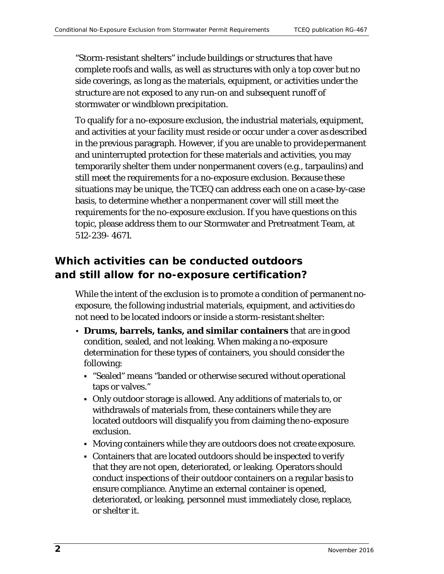side coverings, as long as the materials, equipment, or activities under the "Storm-resistant shelters" include buildings or structures that have complete roofs and walls, as well as structures with only a top cover but no structure are not exposed to any run-on and subsequent runoff of stormwater or windblown precipitation.

 in the previous paragraph. However, if you are unable to provide permanent and uninterrupted protection for these materials and activities, you may temporarily shelter them under nonpermanent covers (e.g., tarpaulins) and 512-239- 4671. To qualify for a no-exposure exclusion, the industrial materials, equipment, and activities at your facility must reside or occur under a cover as described still meet the requirements for a no-exposure exclusion. Because these situations may be unique, the TCEQ can address each one on a case-by-case basis, to determine whether a nonpermanent cover will still meet the requirements for the no-exposure exclusion. If you have questions on this topic, please address them to our Stormwater and Pretreatment Team, at

### *Which activities can be conducted outdoors and still allow for no-exposure certification?*

 While the intent of the exclusion is to promote a condition of permanent no- exposure, the following industrial materials, equipment, and activities do not need to be located indoors or inside a storm-resistant shelter:

- **Drums, barrels, tanks, and similar containers** that are in good condition, sealed, and not leaking. When making a no-exposure determination for these types of containers, you should consider the following:
	- taps or valves." "Sealed" means "banded or otherwise secured without operational
	- Only outdoor storage is allowed. Any additions of materials to, or withdrawals of materials from, these containers while they are located outdoors will disqualify you from claiming the no-exposure exclusion.
	- Moving containers while they are outdoors does not create exposure.
	- ensure compliance. Anytime an external container is opened, or shelter it. Containers that are located outdoors should be inspected to verify that they are not open, deteriorated, or leaking. Operators should conduct inspections of their outdoor containers on a regular basis to deteriorated, or leaking, personnel must immediately close, replace,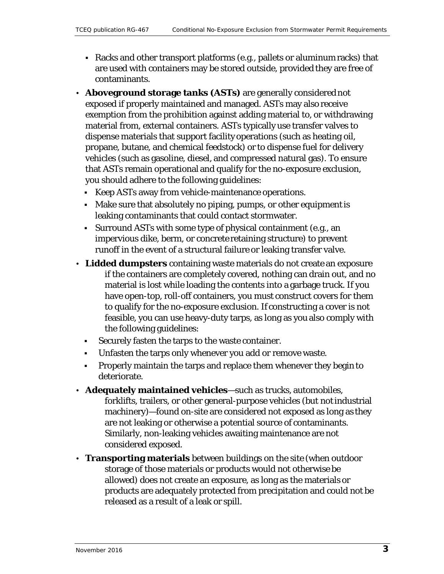- are used with containers may be stored outside, provided they are free of Racks and other transport platforms (e.g., pallets or aluminum racks) that contaminants.
- material from, external containers. ASTs typically use transfer valves to dispense materials that support facility operations (such as heating oil, you should adhere to the following guidelines: • **Aboveground storage tanks (ASTs)** are generally considered not exposed if properly maintained and managed. ASTs may also receive exemption from the prohibition against adding material to, or withdrawing propane, butane, and chemical feedstock) or to dispense fuel for delivery vehicles (such as gasoline, diesel, and compressed natural gas). To ensure that ASTs remain operational and qualify for the no-exposure exclusion,
	- Keep ASTs away from vehicle-maintenance operations.
	- Make sure that absolutely no piping, pumps, or other equipment is leaking contaminants that could contact stormwater.
	- runoff in the event of a structural failure or leaking transfer valve. Surround ASTs with some type of physical containment (e.g., an impervious dike, berm, or concrete retaining structure) to prevent
- • **Lidded dumpsters** containing waste materials do not create an exposure the following guidelines: if the containers are completely covered, nothing can drain out, and no material is lost while loading the contents into a garbage truck. If you have open-top, roll-off containers, you must construct covers for them to qualify for the no-exposure exclusion. If constructing a cover is not feasible, you can use heavy-duty tarps, as long as you also comply with
	- Securely fasten the tarps to the waste container.
	- Unfasten the tarps only whenever you add or remove waste.
	- Properly maintain the tarps and replace them whenever they begin to deteriorate.
- machinery)—found on-site are considered not exposed as long as they • **Adequately maintained vehicles**—such as trucks, automobiles, forklifts, trailers, or other general-purpose vehicles (but not industrial are not leaking or otherwise a potential source of contaminants. Similarly, non-leaking vehicles awaiting maintenance are not considered exposed.
- • **Transporting materials** between buildings on the site (when outdoor released as a result of a leak or spill. storage of those materials or products would not otherwise be allowed) does not create an exposure, as long as the materials or products are adequately protected from precipitation and could not be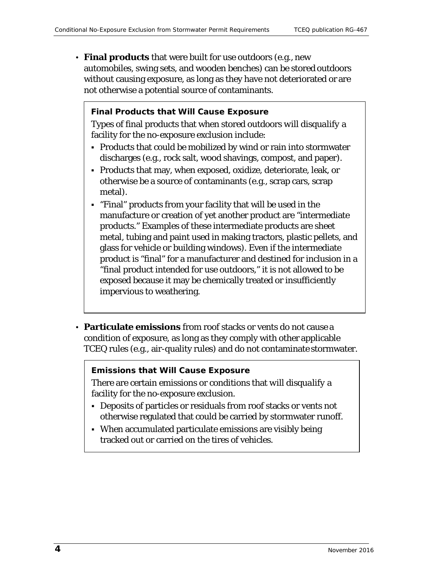• **Final products** that were built for use outdoors (e.g., new automobiles, swing sets, and wooden benches) can be stored outdoors without causing exposure, as long as they have not deteriorated or are not otherwise a potential source of contaminants.

#### **Final Products that** *Will* **Cause Exposure**

 Types of final products that when stored outdoors *will disqualify* a facility for the no-exposure exclusion include:

- Products that could be mobilized by wind or rain into stormwater discharges (e.g., rock salt, wood shavings, compost, and paper).
- Products that may, when exposed, oxidize, deteriorate, leak, or otherwise be a source of contaminants (e.g., scrap cars, scrap metal).
- "Final" products from your facility that will be used in the manufacture or creation of yet another product are "intermediate products." Examples of these intermediate products are sheet metal, tubing and paint used in making tractors, plastic pellets, and glass for vehicle or building windows). Even if the intermediate product is "final" for a manufacturer and destined for inclusion in a "final product intended for use outdoors," it is not allowed to be exposed because it may be chemically treated or insufficiently impervious to weathering.
- **Particulate emissions** from roof stacks or vents do not cause a condition of exposure, as long as they comply with other applicable TCEQ rules (e.g., air-quality rules) and do not contaminate stormwater.

#### **Emissions that** *Will* **Cause Exposure**

 There are certain emissions or conditions that *will disqualify* a facility for the no-exposure exclusion.

- Deposits of particles or residuals from roof stacks or vents not otherwise regulated that could be carried by stormwater runoff.
- When accumulated particulate emissions are visibly being tracked out or carried on the tires of vehicles.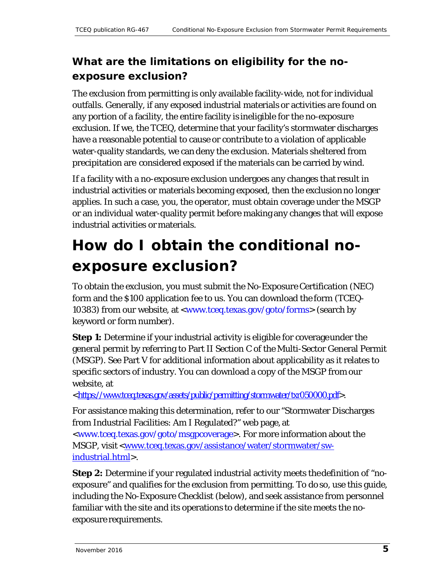### What are the limitations on eligibility for the no*exposure exclusion?*

 precipitation are considered exposed if the materials can be carried by wind. The exclusion from permitting is only available facility-wide, not for individual outfalls. Generally, if any exposed industrial materials or activities are found on any portion of a facility, the entire facility is ineligible for the no-exposure exclusion. If we, the TCEQ, determine that your facility's stormwater discharges have a reasonable potential to cause or contribute to a violation of applicable water-quality standards, we can deny the exclusion. Materials sheltered from

 industrial activities or materials becoming exposed, then the exclusion no longer industrial activities or materials. If a facility with a no-exposure exclusion undergoes any changes that result in applies. In such a case, you, the operator, must obtain coverage under the MSGP or an individual water-quality permit before making any changes that will expose

## **How do I obtain the conditional noexposure exclusion?**

 10383) from our website, at [<www.tceq.texas.gov/goto/forms>](http://www.tceq.texas.gov/goto/forms) (search by keyword or form number). To obtain the exclusion, you must submit the No-Exposure Certification (NEC) form and the \$100 application fee to us. You can download the form (TCEQ-

 **Step 1:** Determine if your industrial activity is eligible for coverageunder the general permit by referring to Part II Section C of the Multi-Sector General Permit (MSGP). See Part V for additional information about applicability as it relates to specific sectors of industry. You can download a copy of the MSGP from our website, at

[<https://www.tceq.texas.gov/assets/public/permitting/stormwater/txr050000.pdf>](https://www.tceq.texas.gov/assets/public/permitting/stormwater/txr050000.pdf).

 from Industrial Facilities: Am I Regulated?" web page, at [<www.tceq.texas.gov/goto/msgpcoverage>](http://www.tceq.texas.gov/goto/msgpcoverage). For more information about the For assistance making this determination, refer to our "Stormwater Discharges MSGP, visit <<u>www.tceq.texas.gov/assistance/water/stormwater/sw-</u> [industrial.html>](http://www.tceq.texas.gov/assistance/water/stormwater/sw-industrial.html).

 familiar with the site and its operations to determine if the site meets the no-**Step 2:** Determine if your regulated industrial activity meets thedefinition of "noexposure" and qualifies for the exclusion from permitting. To do so, use this guide, including the No-Exposure Checklist (below), and seek assistance from personnel exposure requirements.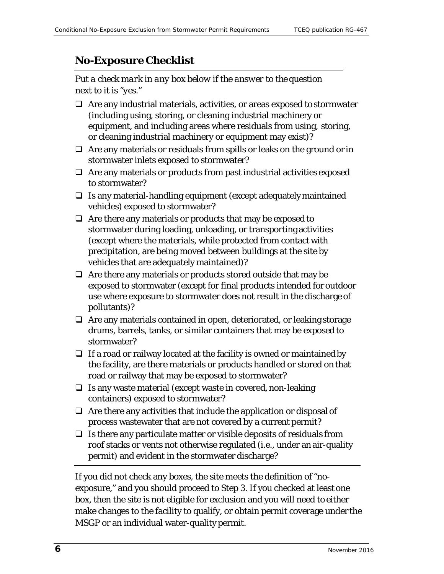### *No-Exposure Checklist*

*Put a check mark in any box below if the answer to the question next to it is "yes."* 

- (including using, storing, or cleaning industrial machinery or or cleaning industrial machinery or equipment may exist)?  $\Box$  Are any industrial materials, activities, or areas exposed to stormwater equipment, and including areas where residuals from using, storing,
- $\Box$  Are any materials or residuals from spills or leaks on the ground or in stormwater inlets exposed to stormwater?
- $\Box$  Are any materials or products from past industrial activities exposed to stormwater?
- $\Box$  Is any material-handling equipment (except adequately maintained vehicles) exposed to stormwater?
- $\Box$  Are there any materials or products that may be exposed to stormwater during loading, unloading, or transporting activities (except where the materials, while protected from contact with precipitation, are being moved between buildings at the site by vehicles that are adequately maintained)?
- $\Box$  Are there any materials or products stored outside that may be exposed to stormwater (except for final products intended for outdoor use where exposure to stormwater does not result in the discharge of pollutants)?
- $\Box$  Are any materials contained in open, deteriorated, or leaking storage drums, barrels, tanks, or similar containers that may be exposed to stormwater?
- $\Box$  If a road or railway located at the facility is owned or maintained by the facility, are there materials or products handled or stored on that road or railway that may be exposed to stormwater?
- $\Box$  Is any waste material (except waste in covered, non-leaking containers) exposed to stormwater?
- process wastewater that are not covered by a current permit?  $\Box$  Are there any activities that include the application or disposal of
- permit) and evident in the stormwater discharge?  $\Box$  Is there any particulate matter or visible deposits of residuals from roof stacks or vents not otherwise regulated (i.e., under an air-quality

 box, then the site is not eligible for exclusion and you will need to either MSGP or an individual water-quality permit. If you did not check any boxes, the site meets the definition of "noexposure," and you should proceed to Step 3. If you checked at least one make changes to the facility to qualify, or obtain permit coverage under the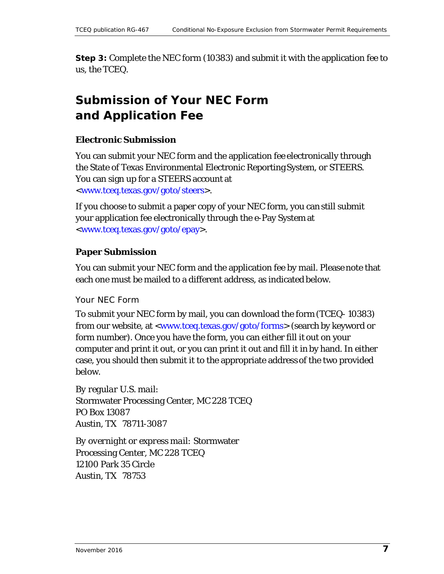**Step 3:** Complete the NEC form (10383) and submit it with the application fee to us, the TCEQ.

## **Submission of Your NEC Form and Application Fee**

#### **Electronic Submission**

 the State of Texas Environmental Electronic Reporting System, or STEERS. You can sign up for a STEERS account at You can submit your NEC form and the application fee electronically through [<www.tceq.texas.gov/goto/steers>](http://www.tceq.texas.gov/goto/steers).

 your application fee electronically through the e-Pay System at If you choose to submit a paper copy of your NEC form, you can still submit [<www.tceq.texas.gov/goto/epay>](http://www.tceq.texas.gov/goto/epay).

#### **Paper Submission**

 each one must be mailed to a different address, as indicated below. You can submit your NEC form and the application fee by mail. Please note that

Your NEC Form

 To submit your NEC form by mail, you can download the form (TCEQ- 10383) form number). Once you have the form, you can either fill it out on your from our website, at [<www.tceq.texas.gov/goto/forms>](http://www.tceq.texas.gov/goto/forms) (search by keyword or computer and print it out, or you can print it out and fill it in by hand. In either case, you should then submit it to the appropriate address of the two provided below.

 Stormwater Processing Center, MC 228 TCEQ PO Box 13087 *By regular U.S. mail:*  Austin, TX 78711-3087

 12100 Park 35 Circle Austin, TX 78753 *By overnight or express mail:* Stormwater Processing Center, MC 228 TCEQ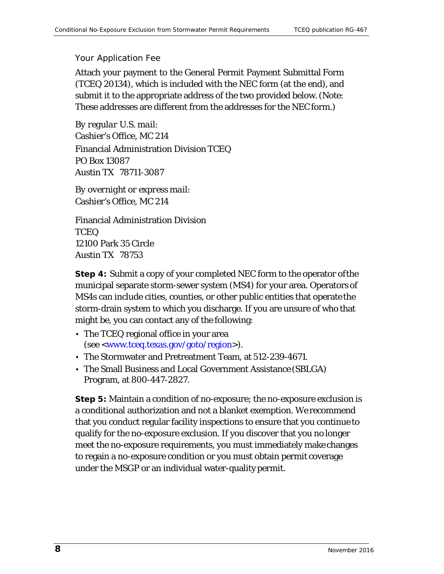#### Your Application Fee

 These addresses are different from the addresses for the NEC form.) Attach your payment to the General Permit Payment Submittal Form (TCEQ 20134), which is included with the NEC form (at the end), and submit it to the appropriate address of the two provided below. (*Note:* 

Cashier's Office, MC 214<br>Financial Administration Division TCEQ PO Box 13087 *By regular U.S. mail:*  Austin TX 78711-3087

*By overnight or express mail:*  Cashier's Office, MC 214 Financial Administration Division

 12100 Park 35 Circle Austin TX 78753 **TCEQ** 

 storm-drain system to which you discharge. If you are unsure of who that might be, you can contact any of the following: **Step 4:** Submit a copy of your completed NEC form to the operator ofthe municipal separate storm-sewer system (MS4) for your area. Operators of MS4s can include cities, counties, or other public entities that operate the

- • The TCEQ regional office in your area (see [<www.tceq.texas.gov/goto/region>](http://www.tceq.texas.gov/goto/region)).
- The Stormwater and Pretreatment Team, at 512-239-4671.
- • The Small Business and Local Government Assistance (SBLGA) Program, at 800-447-2827.

 **Step 5:** Maintain a condition of no-exposure; the no-exposure exclusion is that you conduct regular facility inspections to ensure that you continue to meet the no-exposure requirements, you must immediately make changes under the MSGP or an individual water-quality permit. a conditional authorization and not a blanket exemption. We recommend qualify for the no-exposure exclusion. If you discover that you no longer to regain a no-exposure condition or you must obtain permit coverage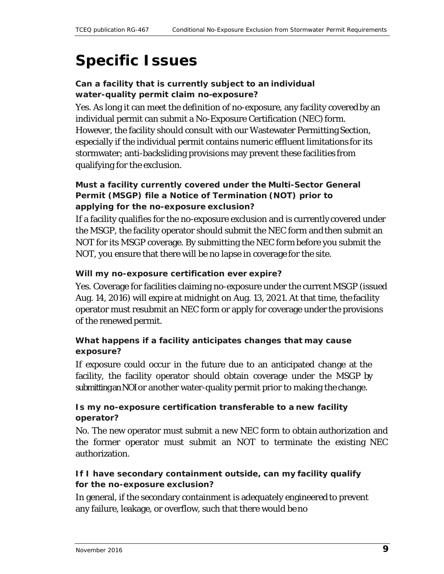## **Specific Issues**

#### *Can a facility that is currently subject to an individual water-quality permit claim no-exposure?*

 individual permit can submit a No-Exposure Certification (NEC) form. especially if the individual permit contains numeric effluent limitations for its qualifying for the exclusion. Yes. As long it can meet the definition of no-exposure, any facility covered by an However, the facility should consult with our Wastewater Permitting Section, stormwater; anti-backsliding provisions may prevent these facilities from

#### *Must a facility currently covered under the Multi-Sector General Permit (MSGP) file a Notice of Termination (NOT) prior to applying for the no-exposure exclusion?*

 NOT, you ensure that there will be no lapse in coverage for the site. If a facility qualifies for the no-exposure exclusion and is currently covered under the MSGP, the facility operator should submit the NEC form and then submit an NOT for its MSGP coverage. By submitting the NEC form before you submit the

#### *Will my no-exposure certification ever expire?*

 Aug. 14, 2016) will expire at midnight on Aug. 13, 2021. At that time, the facility of the renewed permit. Yes. Coverage for facilities claiming no-exposure under the current MSGP (issued operator must resubmit an NEC form or apply for coverage under the provisions

#### *What happens if a facility anticipates changes that may cause exposure?*

 submittingan NOIor another water-quality permit prior to making the change. If exposure could occur in the future due to an anticipated change at the facility, the facility operator should obtain coverage under the MSGP by

#### *Is my no-exposure certification transferable to a new facility operator?*

 the former operator must submit an NOT to terminate the existing NEC No. The new operator must submit a new NEC form to obtain authorization and authorization.

#### *If I have secondary containment outside, can my facility qualify for the no-exposure exclusion?*

 any failure, leakage, or overflow, such that there would be no In general, if the secondary containment is adequately engineered to prevent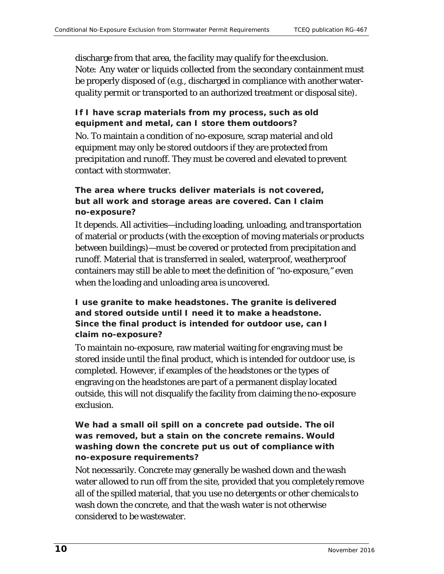discharge from that area, the facility may qualify for the exclusion. be properly disposed of (e.g., discharged in compliance with another water- quality permit or transported to an authorized treatment or disposal site). *Note:* Any water or liquids collected from the secondary containment must

#### *If I have scrap materials from my process, such as old equipment and metal, can I store them outdoors?*

No. To maintain a condition of no-exposure, scrap material and old equipment may only be stored outdoors if they are protected from precipitation and runoff. They must be covered and elevated to prevent contact with stormwater.

#### *but all work and storage areas are covered. Can I claim The area where trucks deliver materials is not covered, no-exposure?*

 containers may still be able to meet the definition of "no-exposure," even when the loading and unloading area is uncovered. It depends. All activities—including loading, unloading, and transportation of material or products (with the exception of moving materials or products between buildings)—must be covered or protected from precipitation and runoff. Material that is transferred in sealed, waterproof, weatherproof

*I use granite to make headstones. The granite is delivered and stored outside until I need it to make a headstone. Since the final product is intended for outdoor use, can I claim no-exposure?* 

 stored inside until the final product, which is intended for outdoor use, is To maintain no-exposure, raw material waiting for engraving must be completed. However, if examples of the headstones or the types of engraving on the headstones are part of a permanent display located outside, this will not disqualify the facility from claiming the no-exposure exclusion.

#### *We had a small oil spill on a concrete pad outside. The oil was removed, but a stain on the concrete remains. Would washing down the concrete put us out of compliance with no-exposure requirements?*

 water allowed to run off from the site, provided that you completely remove Not necessarily. Concrete may generally be washed down and the wash all of the spilled material, that you use no detergents or other chemicals to wash down the concrete, and that the wash water is not otherwise considered to be wastewater.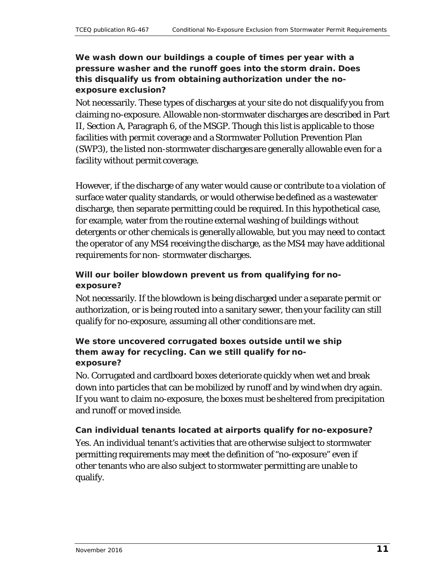#### *We wash down our buildings a couple of times per year with a pressure washer and the runoff goes into the storm drain. Does this disqualify us from obtaining authorization under the noexposure exclusion?*

 facility without permit coverage. Not necessarily. These types of discharges at your site do not disqualify you from claiming no-exposure. Allowable non-stormwater discharges are described in Part II, Section A, Paragraph 6, of the MSGP. Though this list is applicable to those facilities with permit coverage and a Stormwater Pollution Prevention Plan (SWP3), the listed non-stormwater discharges are generally allowable even for a

 surface water quality standards, or would otherwise be defined as a wastewater detergents or other chemicals is generally allowable, but you may need to contact the operator of any MS4 receiving the discharge, as the MS4 may have additional requirements for non- stormwater discharges. However, if the discharge of any water would cause or contribute to a violation of discharge, then separate permitting could be required. In this hypothetical case, for example, water from the routine external washing of buildings without

#### *Will our boiler blowdown prevent us from qualifying for noexposure?*

 qualify for no-exposure, assuming all other conditions are met. Not necessarily. If the blowdown is being discharged under a separate permit or authorization, or is being routed into a sanitary sewer, then your facility can still

#### *We store uncovered corrugated boxes outside until we ship them away for recycling. Can we still qualify for noexposure?*

 If you want to claim no-exposure, the boxes must be sheltered from precipitation and runoff or moved inside. No. Corrugated and cardboard boxes deteriorate quickly when wet and break down into particles that can be mobilized by runoff and by wind when dry again.

## *Can individual tenants located at airports qualify for no-exposure?*

 Yes. An individual tenant's activities that are otherwise subject to stormwater permitting requirements may meet the definition of "no-exposure" even if other tenants who are also subject to stormwater permitting are unable to qualify.